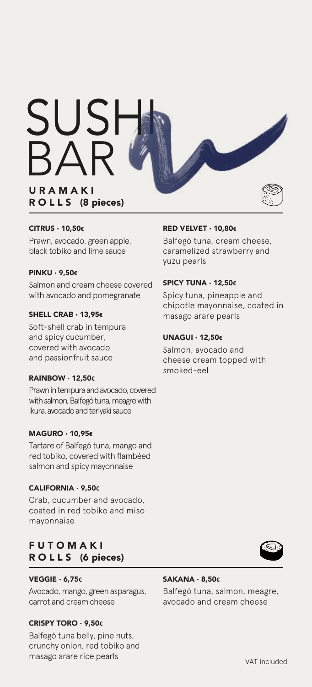**URAMAKI** SUSHI BAR

# R OLL S (8 pieces)

#### CITRUS · 10,50€

Prawn, avocado, green apple, black tobiko and lime sauce

#### PINKU · 9,50€

Salmon and cream cheese covered with avocado and pomegranate

## SHELL CRAB · 13,95€

Soft-shell crab in tempura and spicy cucumber, covered with avocado and passionfruit sauce

#### RAINBOW · 12,50€

Prawn in tempura and avocado, covered with salmon, Balfegó tuna, meagre with ikura, avocado and teriyaki sauce

#### MAGURO · 10,95€

Tartare of Balfegó tuna, mango and red tobiko, covered with flambéed salmon and spicy mayonnaise

#### CALIFORNIA · 9,50€

Crab, cucumber and avocado, coated in red tobiko and miso mayonnaise

## **FUTOMAKI** R OLL S (6 pieces)

#### VEGGIE · 6,75€

Avocado, mango, green asparagus, carrot and cream cheese

#### CRISPY TORO · 9,50€

Balfegó tuna belly, pine nuts, crunchy onion, red tobiko and masago arare rice pearls

## RED VELVET · 10,80€

Balfegó tuna, cream cheese, caramelized strawberry and yuzu pearls

#### SPICY TUNA · 12,50€

Spicy tuna, pineapple and chipotle mayonnaise, coated in masago arare pearls

#### UNAGUI · 12,50€

Salmon, avocado and cheese cream topped with smoked-eel



Balfegó tuna, salmon, meagre, avocado and cream cheese